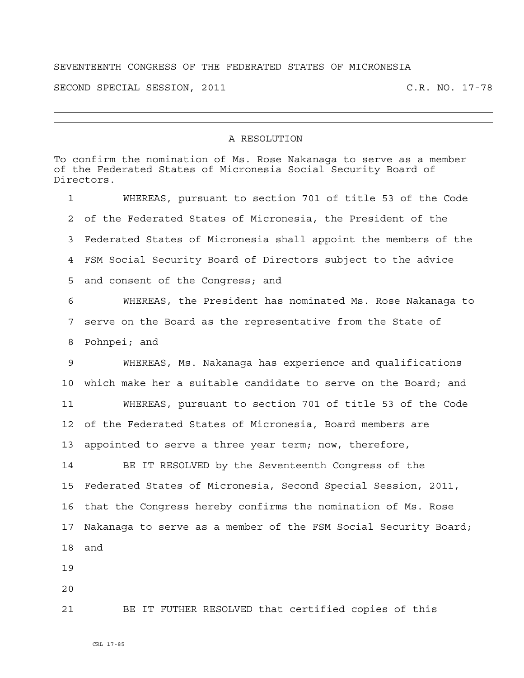## SEVENTEENTH CONGRESS OF THE FEDERATED STATES OF MICRONESIA

SECOND SPECIAL SESSION, 2011 C.R. NO. 17-78

## A RESOLUTION

To confirm the nomination of Ms. Rose Nakanaga to serve as a member of the Federated States of Micronesia Social Security Board of Directors. 1 WHEREAS, pursuant to section 701 of title 53 of the Code 2 of the Federated States of Micronesia, the President of the 3 Federated States of Micronesia shall appoint the members of the 4 FSM Social Security Board of Directors subject to the advice 5 and consent of the Congress; and 6 WHEREAS, the President has nominated Ms. Rose Nakanaga to 7 serve on the Board as the representative from the State of 8 Pohnpei; and 9 WHEREAS, Ms. Nakanaga has experience and qualifications 10 which make her a suitable candidate to serve on the Board; and 11 WHEREAS, pursuant to section 701 of title 53 of the Code 12 of the Federated States of Micronesia, Board members are 13 appointed to serve a three year term; now, therefore, 14 BE IT RESOLVED by the Seventeenth Congress of the 15 Federated States of Micronesia, Second Special Session, 2011, 16 that the Congress hereby confirms the nomination of Ms. Rose 17 Nakanaga to serve as a member of the FSM Social Security Board; 18 and 19 20 21 BE IT FUTHER RESOLVED that certified copies of this